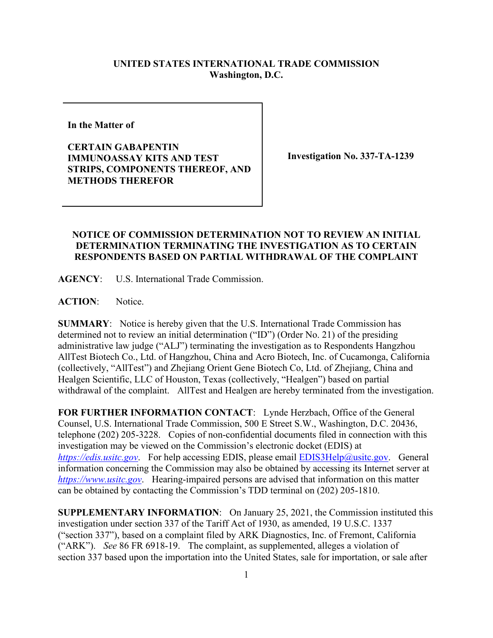## **UNITED STATES INTERNATIONAL TRADE COMMISSION Washington, D.C.**

**In the Matter of** 

**CERTAIN GABAPENTIN IMMUNOASSAY KITS AND TEST STRIPS, COMPONENTS THEREOF, AND METHODS THEREFOR**

**Investigation No. 337-TA-1239**

## **NOTICE OF COMMISSION DETERMINATION NOT TO REVIEW AN INITIAL DETERMINATION TERMINATING THE INVESTIGATION AS TO CERTAIN RESPONDENTS BASED ON PARTIAL WITHDRAWAL OF THE COMPLAINT**

**AGENCY**: U.S. International Trade Commission.

**ACTION**: Notice.

**SUMMARY**: Notice is hereby given that the U.S. International Trade Commission has determined not to review an initial determination ("ID") (Order No. 21) of the presiding administrative law judge ("ALJ") terminating the investigation as to Respondents Hangzhou AllTest Biotech Co., Ltd. of Hangzhou, China and Acro Biotech, Inc. of Cucamonga, California (collectively, "AllTest") and Zhejiang Orient Gene Biotech Co, Ltd. of Zhejiang, China and Healgen Scientific, LLC of Houston, Texas (collectively, "Healgen") based on partial withdrawal of the complaint. AllTest and Healgen are hereby terminated from the investigation.

**FOR FURTHER INFORMATION CONTACT**: Lynde Herzbach, Office of the General Counsel, U.S. International Trade Commission, 500 E Street S.W., Washington, D.C. 20436, telephone (202) 205-3228. Copies of non-confidential documents filed in connection with this investigation may be viewed on the Commission's electronic docket (EDIS) at *[https://edis.usitc.gov](https://edis.usitc.gov/).* For help accessing EDIS, please email [EDIS3Help@usitc.gov.](mailto:EDIS3Help@usitc.gov) General information concerning the Commission may also be obtained by accessing its Internet server at *[https://www.usitc.gov](https://www.usitc.gov/)*. Hearing-impaired persons are advised that information on this matter can be obtained by contacting the Commission's TDD terminal on (202) 205-1810.

**SUPPLEMENTARY INFORMATION**: On January 25, 2021, the Commission instituted this investigation under section 337 of the Tariff Act of 1930, as amended, 19 U.S.C. 1337 ("section 337"), based on a complaint filed by ARK Diagnostics, Inc. of Fremont, California ("ARK"). *See* 86 FR 6918-19. The complaint, as supplemented, alleges a violation of section 337 based upon the importation into the United States, sale for importation, or sale after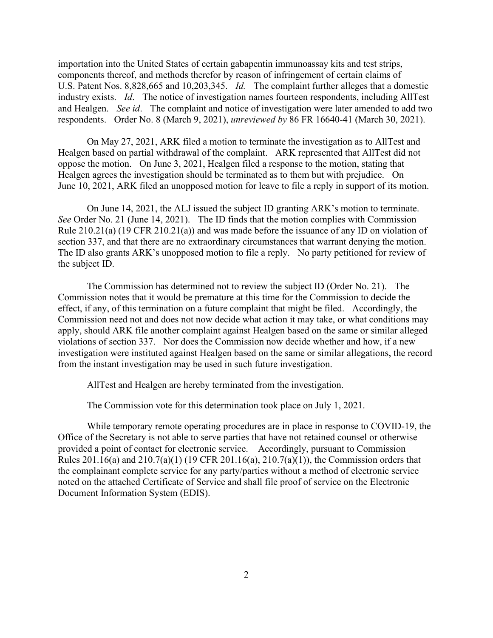importation into the United States of certain gabapentin immunoassay kits and test strips, components thereof, and methods therefor by reason of infringement of certain claims of U.S. Patent Nos. 8,828,665 and 10,203,345. *Id.* The complaint further alleges that a domestic industry exists. *Id*. The notice of investigation names fourteen respondents, including AllTest and Healgen. *See id*. The complaint and notice of investigation were later amended to add two respondents. Order No. 8 (March 9, 2021), *unreviewed by* 86 FR 16640-41 (March 30, 2021).

On May 27, 2021, ARK filed a motion to terminate the investigation as to AllTest and Healgen based on partial withdrawal of the complaint. ARK represented that AllTest did not oppose the motion. On June 3, 2021, Healgen filed a response to the motion, stating that Healgen agrees the investigation should be terminated as to them but with prejudice. On June 10, 2021, ARK filed an unopposed motion for leave to file a reply in support of its motion.

On June 14, 2021, the ALJ issued the subject ID granting ARK's motion to terminate. *See* Order No. 21 (June 14, 2021). The ID finds that the motion complies with Commission Rule 210.21(a) (19 CFR 210.21(a)) and was made before the issuance of any ID on violation of section 337, and that there are no extraordinary circumstances that warrant denying the motion. The ID also grants ARK's unopposed motion to file a reply. No party petitioned for review of the subject ID.

The Commission has determined not to review the subject ID (Order No. 21). The Commission notes that it would be premature at this time for the Commission to decide the effect, if any, of this termination on a future complaint that might be filed. Accordingly, the Commission need not and does not now decide what action it may take, or what conditions may apply, should ARK file another complaint against Healgen based on the same or similar alleged violations of section 337. Nor does the Commission now decide whether and how, if a new investigation were instituted against Healgen based on the same or similar allegations, the record from the instant investigation may be used in such future investigation.

AllTest and Healgen are hereby terminated from the investigation.

The Commission vote for this determination took place on July 1, 2021.

While temporary remote operating procedures are in place in response to COVID-19, the Office of the Secretary is not able to serve parties that have not retained counsel or otherwise provided a point of contact for electronic service. Accordingly, pursuant to Commission Rules 201.16(a) and 210.7(a)(1) (19 CFR 201.16(a), 210.7(a)(1)), the Commission orders that the complainant complete service for any party/parties without a method of electronic service noted on the attached Certificate of Service and shall file proof of service on the Electronic Document Information System (EDIS).